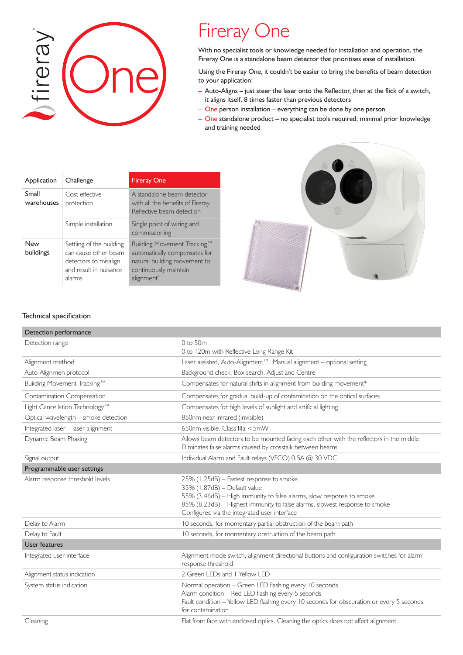

## Fireray One

With no specialist tools or knowledge needed for installation and operation, the Fireray One is a standalone beam detector that prioritises ease of installation.

Using the Fireray One, it couldn't be easier to bring the benefits of beam detection to your application:

- Auto-Aligns just steer the laser onto the Reflector, then at the flick of a switch, it aligns itself. 8 times faster than previous detectors
- One person installation everything can be done by one person
- One standalone product no specialist tools required; minimal prior knowledge and training needed

| Application         | Challenge                                                                                                      | <b>Fireray One</b>                                                                                                                              |
|---------------------|----------------------------------------------------------------------------------------------------------------|-------------------------------------------------------------------------------------------------------------------------------------------------|
| Small<br>warehouses | Cost effective<br>protection                                                                                   | A standalone beam detector<br>with all the benefits of Fireray<br>Reflective beam detection                                                     |
|                     | Simple installation                                                                                            | Single point of wiring and<br>commissioning                                                                                                     |
| New<br>buildings    | Settling of the building<br>can cause other beam<br>detectors to misalign<br>and result in nuisance.<br>alarms | Building Movement Tracking™<br>automatically compensates for<br>natural building movement to<br>continuously maintain<br>alignment <sup>*</sup> |



## Technical specification

| Detection performance                |                                                                                                                                                                                                                                                                                |
|--------------------------------------|--------------------------------------------------------------------------------------------------------------------------------------------------------------------------------------------------------------------------------------------------------------------------------|
| Detection range                      | $0$ to $50m$                                                                                                                                                                                                                                                                   |
|                                      | 0 to 120m with Reflective Long Range Kit                                                                                                                                                                                                                                       |
| Alignment method                     | Laser assisted, Auto-Alignment™. Manual alignment - optional setting                                                                                                                                                                                                           |
| Auto-Alignmen protocol               | Background check, Box search, Adjust and Centre                                                                                                                                                                                                                                |
| Building Movement Tracking™          | Compensates for natural shifts in alignment from building movement*                                                                                                                                                                                                            |
| Contamination Compensation           | Compensates for gradual build-up of contamination on the optical surfaces                                                                                                                                                                                                      |
| Light Cancellation Technology™       | Compensates for high levels of sunlight and artificial lighting                                                                                                                                                                                                                |
| Optical wavelength - smoke detection | 850nm near infrared (invisible)                                                                                                                                                                                                                                                |
| Integrated laser - laser alignment   | 650nm visible. Class IIIa <5mW                                                                                                                                                                                                                                                 |
| Dynamic Beam Phasing                 | Allows beam detectors to be mounted facing each other with the reflectors in the middle.<br>Eliminates false alarms caused by crosstalk between beams                                                                                                                          |
| Signal output                        | Individual Alarm and Fault relays (VFCO) 0.5A @ 30 VDC                                                                                                                                                                                                                         |
| Programmable user settings           |                                                                                                                                                                                                                                                                                |
| Alarm response threshold levels      | 25% (1.25dB) - Fastest response to smoke<br>35% (1.87dB) - Default value<br>55% (3.46dB) - High immunity to false alarms, slow response to smoke<br>85% (8.23dB) - Highest immunity to false alarms, slowest response to smoke<br>Configured via the integrated user interface |
| Delay to Alarm                       | 10 seconds, for momentary partial obstruction of the beam path                                                                                                                                                                                                                 |
| Delay to Fault                       | 10 seconds, for momentary obstruction of the beam path                                                                                                                                                                                                                         |
| User features                        |                                                                                                                                                                                                                                                                                |
| Integrated user interface            | Alignment mode switch, alignment directional buttons and configuration switches for alarm<br>response threshold                                                                                                                                                                |
| Alignment status indication          | 2 Green LEDs and 1 Yellow LED                                                                                                                                                                                                                                                  |
| System status indication             | Normal operation - Green LED flashing every 10 seconds<br>Alarm condition - Red LED flashing every 5 seconds<br>Fault condition - Yellow LED flashing every 10 seconds for obscuration or every 5 seconds<br>for contamination                                                 |
| C <sub>l</sub>                       | Elat front face with enclosed optics. Classing the entire does not affect alignment                                                                                                                                                                                            |

Cleaning Flat front face with enclosed optics. Cleaning the optics does not affect alignment